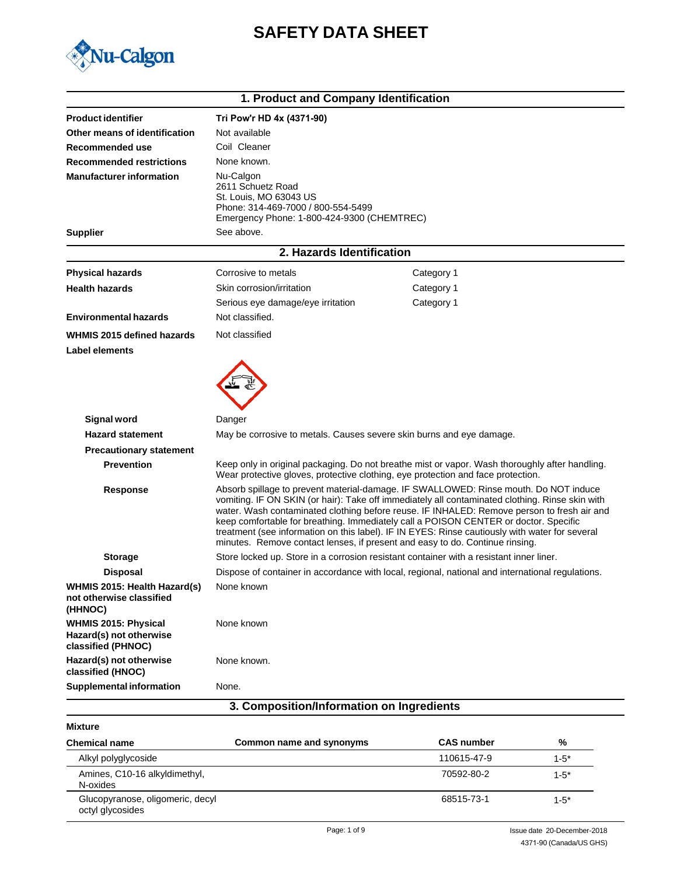# **SAFETY DATA SHEET**



|                                                                              | 1. Product and Company Identification                                                                                                                                                                                                                                                                                                                                                                                                                                                                                                                           |                                                                                                                                                                                    |  |
|------------------------------------------------------------------------------|-----------------------------------------------------------------------------------------------------------------------------------------------------------------------------------------------------------------------------------------------------------------------------------------------------------------------------------------------------------------------------------------------------------------------------------------------------------------------------------------------------------------------------------------------------------------|------------------------------------------------------------------------------------------------------------------------------------------------------------------------------------|--|
| <b>Product identifier</b>                                                    | Tri Pow'r HD 4x (4371-90)                                                                                                                                                                                                                                                                                                                                                                                                                                                                                                                                       |                                                                                                                                                                                    |  |
| Other means of identification                                                | Not available                                                                                                                                                                                                                                                                                                                                                                                                                                                                                                                                                   |                                                                                                                                                                                    |  |
| Recommended use                                                              | Coil Cleaner                                                                                                                                                                                                                                                                                                                                                                                                                                                                                                                                                    |                                                                                                                                                                                    |  |
| <b>Recommended restrictions</b>                                              | None known.                                                                                                                                                                                                                                                                                                                                                                                                                                                                                                                                                     |                                                                                                                                                                                    |  |
| <b>Manufacturer information</b>                                              | Nu-Calgon<br>2611 Schuetz Road<br>St. Louis, MO 63043 US<br>Phone: 314-469-7000 / 800-554-5499<br>Emergency Phone: 1-800-424-9300 (CHEMTREC)                                                                                                                                                                                                                                                                                                                                                                                                                    |                                                                                                                                                                                    |  |
| <b>Supplier</b>                                                              | See above.                                                                                                                                                                                                                                                                                                                                                                                                                                                                                                                                                      |                                                                                                                                                                                    |  |
|                                                                              | 2. Hazards Identification                                                                                                                                                                                                                                                                                                                                                                                                                                                                                                                                       |                                                                                                                                                                                    |  |
| <b>Physical hazards</b>                                                      | Corrosive to metals                                                                                                                                                                                                                                                                                                                                                                                                                                                                                                                                             | Category 1                                                                                                                                                                         |  |
| <b>Health hazards</b>                                                        | Skin corrosion/irritation                                                                                                                                                                                                                                                                                                                                                                                                                                                                                                                                       | Category 1                                                                                                                                                                         |  |
|                                                                              | Serious eye damage/eye irritation                                                                                                                                                                                                                                                                                                                                                                                                                                                                                                                               | Category 1                                                                                                                                                                         |  |
| <b>Environmental hazards</b>                                                 | Not classified.                                                                                                                                                                                                                                                                                                                                                                                                                                                                                                                                                 |                                                                                                                                                                                    |  |
| WHMIS 2015 defined hazards<br>Label elements                                 | Not classified                                                                                                                                                                                                                                                                                                                                                                                                                                                                                                                                                  |                                                                                                                                                                                    |  |
|                                                                              |                                                                                                                                                                                                                                                                                                                                                                                                                                                                                                                                                                 |                                                                                                                                                                                    |  |
| <b>Signal word</b>                                                           | Danger                                                                                                                                                                                                                                                                                                                                                                                                                                                                                                                                                          |                                                                                                                                                                                    |  |
| <b>Hazard statement</b>                                                      | May be corrosive to metals. Causes severe skin burns and eye damage.                                                                                                                                                                                                                                                                                                                                                                                                                                                                                            |                                                                                                                                                                                    |  |
| <b>Precautionary statement</b>                                               |                                                                                                                                                                                                                                                                                                                                                                                                                                                                                                                                                                 |                                                                                                                                                                                    |  |
| <b>Prevention</b>                                                            |                                                                                                                                                                                                                                                                                                                                                                                                                                                                                                                                                                 | Keep only in original packaging. Do not breathe mist or vapor. Wash thoroughly after handling.<br>Wear protective gloves, protective clothing, eye protection and face protection. |  |
| <b>Response</b>                                                              | Absorb spillage to prevent material-damage. IF SWALLOWED: Rinse mouth. Do NOT induce<br>vomiting. IF ON SKIN (or hair): Take off immediately all contaminated clothing. Rinse skin with<br>water. Wash contaminated clothing before reuse. IF INHALED: Remove person to fresh air and<br>keep comfortable for breathing. Immediately call a POISON CENTER or doctor. Specific<br>treatment (see information on this label). IF IN EYES: Rinse cautiously with water for several<br>minutes. Remove contact lenses, if present and easy to do. Continue rinsing. |                                                                                                                                                                                    |  |
| <b>Storage</b>                                                               |                                                                                                                                                                                                                                                                                                                                                                                                                                                                                                                                                                 | Store locked up. Store in a corrosion resistant container with a resistant inner liner.                                                                                            |  |
| <b>Disposal</b>                                                              |                                                                                                                                                                                                                                                                                                                                                                                                                                                                                                                                                                 | Dispose of container in accordance with local, regional, national and international regulations.                                                                                   |  |
| WHMIS 2015: Health Hazard(s)<br>not otherwise classified<br>(HHNOC)          | None known                                                                                                                                                                                                                                                                                                                                                                                                                                                                                                                                                      |                                                                                                                                                                                    |  |
| <b>WHMIS 2015: Physical</b><br>Hazard(s) not otherwise<br>classified (PHNOC) | None known                                                                                                                                                                                                                                                                                                                                                                                                                                                                                                                                                      |                                                                                                                                                                                    |  |
| Hazard(s) not otherwise<br>classified (HNOC)                                 | None known.                                                                                                                                                                                                                                                                                                                                                                                                                                                                                                                                                     |                                                                                                                                                                                    |  |
| <b>Supplemental information</b>                                              | None.                                                                                                                                                                                                                                                                                                                                                                                                                                                                                                                                                           |                                                                                                                                                                                    |  |
|                                                                              | 3. Composition/Information on Ingredients                                                                                                                                                                                                                                                                                                                                                                                                                                                                                                                       |                                                                                                                                                                                    |  |

**Mixture**

| <b>Chemical name</b>                                 | Common name and synonyms | <b>CAS number</b> | %         |
|------------------------------------------------------|--------------------------|-------------------|-----------|
| Alkyl polyglycoside                                  |                          | 110615-47-9       | $1 - 5^*$ |
| Amines, C10-16 alkyldimethyl,<br>N-oxides            |                          | 70592-80-2        | $1 - 5^*$ |
| Glucopyranose, oligomeric, decyl<br>octyl glycosides |                          | 68515-73-1        | $1 - 5^*$ |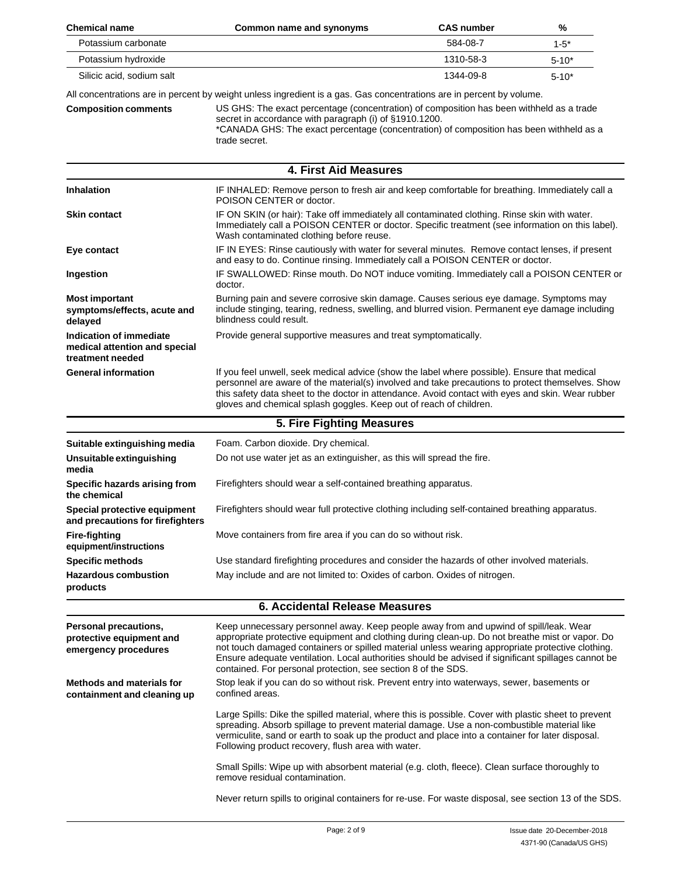| <b>Chemical name</b>                                                         | Common name and synonyms                                                                                                                                                                                                                                                                                                                                                                                                                                             | <b>CAS number</b> | %         |
|------------------------------------------------------------------------------|----------------------------------------------------------------------------------------------------------------------------------------------------------------------------------------------------------------------------------------------------------------------------------------------------------------------------------------------------------------------------------------------------------------------------------------------------------------------|-------------------|-----------|
| Potassium carbonate                                                          |                                                                                                                                                                                                                                                                                                                                                                                                                                                                      | 584-08-7          | $1 - 5*$  |
| Potassium hydroxide                                                          |                                                                                                                                                                                                                                                                                                                                                                                                                                                                      | 1310-58-3         | $5 - 10*$ |
| Silicic acid, sodium salt                                                    |                                                                                                                                                                                                                                                                                                                                                                                                                                                                      | 1344-09-8         | $5 - 10*$ |
| <b>Composition comments</b>                                                  | All concentrations are in percent by weight unless ingredient is a gas. Gas concentrations are in percent by volume.<br>US GHS: The exact percentage (concentration) of composition has been withheld as a trade<br>secret in accordance with paragraph (i) of §1910.1200.<br>*CANADA GHS: The exact percentage (concentration) of composition has been withheld as a<br>trade secret.                                                                               |                   |           |
|                                                                              | 4. First Aid Measures                                                                                                                                                                                                                                                                                                                                                                                                                                                |                   |           |
| <b>Inhalation</b>                                                            | IF INHALED: Remove person to fresh air and keep comfortable for breathing. Immediately call a<br>POISON CENTER or doctor.                                                                                                                                                                                                                                                                                                                                            |                   |           |
| <b>Skin contact</b>                                                          | IF ON SKIN (or hair): Take off immediately all contaminated clothing. Rinse skin with water.<br>Immediately call a POISON CENTER or doctor. Specific treatment (see information on this label).<br>Wash contaminated clothing before reuse.                                                                                                                                                                                                                          |                   |           |
| Eye contact                                                                  | IF IN EYES: Rinse cautiously with water for several minutes. Remove contact lenses, if present<br>and easy to do. Continue rinsing. Immediately call a POISON CENTER or doctor.                                                                                                                                                                                                                                                                                      |                   |           |
| Ingestion                                                                    | IF SWALLOWED: Rinse mouth. Do NOT induce vomiting. Immediately call a POISON CENTER or<br>doctor.                                                                                                                                                                                                                                                                                                                                                                    |                   |           |
| <b>Most important</b><br>symptoms/effects, acute and<br>delayed              | Burning pain and severe corrosive skin damage. Causes serious eye damage. Symptoms may<br>include stinging, tearing, redness, swelling, and blurred vision. Permanent eye damage including<br>blindness could result.                                                                                                                                                                                                                                                |                   |           |
| Indication of immediate<br>medical attention and special<br>treatment needed | Provide general supportive measures and treat symptomatically.                                                                                                                                                                                                                                                                                                                                                                                                       |                   |           |
| <b>General information</b>                                                   | If you feel unwell, seek medical advice (show the label where possible). Ensure that medical<br>personnel are aware of the material(s) involved and take precautions to protect themselves. Show<br>this safety data sheet to the doctor in attendance. Avoid contact with eyes and skin. Wear rubber<br>gloves and chemical splash goggles. Keep out of reach of children.                                                                                          |                   |           |
|                                                                              | 5. Fire Fighting Measures                                                                                                                                                                                                                                                                                                                                                                                                                                            |                   |           |
| Suitable extinguishing media                                                 | Foam. Carbon dioxide. Dry chemical.                                                                                                                                                                                                                                                                                                                                                                                                                                  |                   |           |
| Unsuitable extinguishing<br>media                                            | Do not use water jet as an extinguisher, as this will spread the fire.                                                                                                                                                                                                                                                                                                                                                                                               |                   |           |
| Specific hazards arising from<br>the chemical                                | Firefighters should wear a self-contained breathing apparatus.                                                                                                                                                                                                                                                                                                                                                                                                       |                   |           |
| Special protective equipment<br>and precautions for firefighters             | Firefighters should wear full protective clothing including self-contained breathing apparatus.                                                                                                                                                                                                                                                                                                                                                                      |                   |           |
| <b>Fire-fighting</b><br>equipment/instructions                               | Move containers from fire area if you can do so without risk.                                                                                                                                                                                                                                                                                                                                                                                                        |                   |           |
| <b>Specific methods</b>                                                      | Use standard firefighting procedures and consider the hazards of other involved materials.                                                                                                                                                                                                                                                                                                                                                                           |                   |           |
| <b>Hazardous combustion</b><br>products                                      | May include and are not limited to: Oxides of carbon. Oxides of nitrogen.                                                                                                                                                                                                                                                                                                                                                                                            |                   |           |
|                                                                              | <b>6. Accidental Release Measures</b>                                                                                                                                                                                                                                                                                                                                                                                                                                |                   |           |
| Personal precautions,<br>protective equipment and<br>emergency procedures    | Keep unnecessary personnel away. Keep people away from and upwind of spill/leak. Wear<br>appropriate protective equipment and clothing during clean-up. Do not breathe mist or vapor. Do<br>not touch damaged containers or spilled material unless wearing appropriate protective clothing.<br>Ensure adequate ventilation. Local authorities should be advised if significant spillages cannot be<br>contained. For personal protection, see section 8 of the SDS. |                   |           |
| <b>Methods and materials for</b><br>containment and cleaning up              | Stop leak if you can do so without risk. Prevent entry into waterways, sewer, basements or<br>confined areas.                                                                                                                                                                                                                                                                                                                                                        |                   |           |
|                                                                              | Large Spills: Dike the spilled material, where this is possible. Cover with plastic sheet to prevent<br>spreading. Absorb spillage to prevent material damage. Use a non-combustible material like<br>vermiculite, sand or earth to soak up the product and place into a container for later disposal.<br>Following product recovery, flush area with water.                                                                                                         |                   |           |
|                                                                              | Small Spills: Wipe up with absorbent material (e.g. cloth, fleece). Clean surface thoroughly to<br>remove residual contamination.                                                                                                                                                                                                                                                                                                                                    |                   |           |
|                                                                              | Never return spills to original containers for re-use. For waste disposal, see section 13 of the SDS.                                                                                                                                                                                                                                                                                                                                                                |                   |           |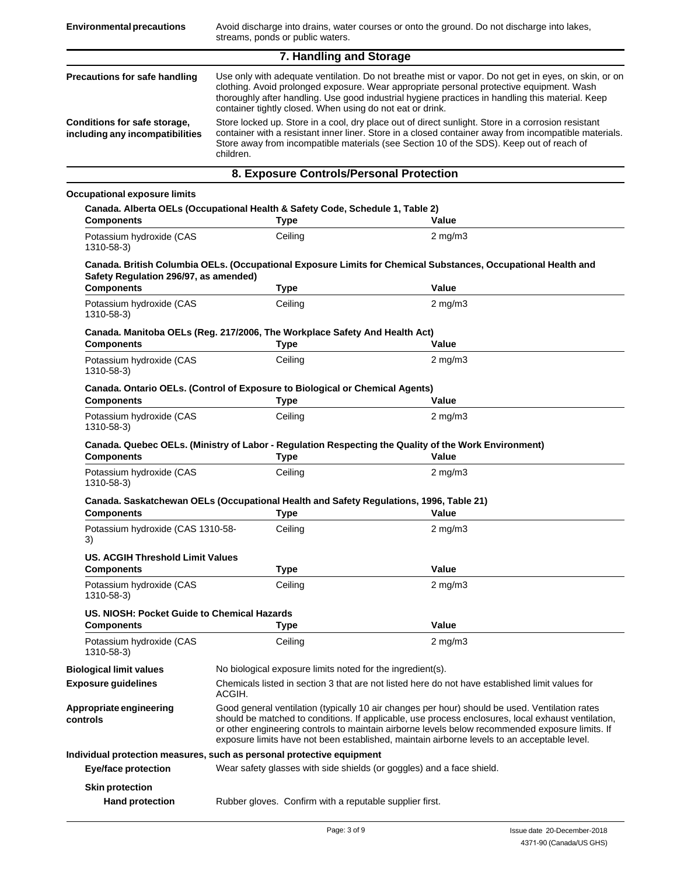| 7. Handling and Storage                                         |                                                                                                                                                                                                                                                                                                                                                                   |  |
|-----------------------------------------------------------------|-------------------------------------------------------------------------------------------------------------------------------------------------------------------------------------------------------------------------------------------------------------------------------------------------------------------------------------------------------------------|--|
| Precautions for safe handling                                   | Use only with adequate ventilation. Do not breathe mist or vapor. Do not get in eyes, on skin, or on<br>clothing. Avoid prolonged exposure. Wear appropriate personal protective equipment. Wash<br>thoroughly after handling. Use good industrial hygiene practices in handling this material. Keep<br>container tightly closed. When using do not eat or drink. |  |
| Conditions for safe storage,<br>including any incompatibilities | Store locked up. Store in a cool, dry place out of direct sunlight. Store in a corrosion resistant<br>container with a resistant inner liner. Store in a closed container away from incompatible materials.<br>Store away from incompatible materials (see Section 10 of the SDS). Keep out of reach of<br>children.                                              |  |
| 8. Exposure Controls/Personal Protection                        |                                                                                                                                                                                                                                                                                                                                                                   |  |

#### **Occupational exposure limits**

| <b>Components</b>                           | Canada. Alberta OELs (Occupational Health & Safety Code, Schedule 1, Table 2)<br>Type     | Value                                                                                                                                                                                                                                                                                                                                                                                                  |
|---------------------------------------------|-------------------------------------------------------------------------------------------|--------------------------------------------------------------------------------------------------------------------------------------------------------------------------------------------------------------------------------------------------------------------------------------------------------------------------------------------------------------------------------------------------------|
| Potassium hydroxide (CAS<br>1310-58-3)      | Ceiling                                                                                   | $2$ mg/m $3$                                                                                                                                                                                                                                                                                                                                                                                           |
| Safety Regulation 296/97, as amended)       |                                                                                           | Canada. British Columbia OELs. (Occupational Exposure Limits for Chemical Substances, Occupational Health and                                                                                                                                                                                                                                                                                          |
| <b>Components</b>                           | <b>Type</b>                                                                               | Value                                                                                                                                                                                                                                                                                                                                                                                                  |
| Potassium hydroxide (CAS<br>1310-58-3)      | Ceiling                                                                                   | $2$ mg/m $3$                                                                                                                                                                                                                                                                                                                                                                                           |
| <b>Components</b>                           | Canada. Manitoba OELs (Reg. 217/2006, The Workplace Safety And Health Act)<br><b>Type</b> | Value                                                                                                                                                                                                                                                                                                                                                                                                  |
| Potassium hydroxide (CAS<br>1310-58-3)      | Ceiling                                                                                   | $2 \text{ mg/m}$                                                                                                                                                                                                                                                                                                                                                                                       |
|                                             | Canada. Ontario OELs. (Control of Exposure to Biological or Chemical Agents)              |                                                                                                                                                                                                                                                                                                                                                                                                        |
| <b>Components</b>                           | <b>Type</b>                                                                               | Value                                                                                                                                                                                                                                                                                                                                                                                                  |
| Potassium hydroxide (CAS<br>1310-58-3)      | Ceiling                                                                                   | $2 \text{ mg/m}$                                                                                                                                                                                                                                                                                                                                                                                       |
|                                             |                                                                                           | Canada. Quebec OELs. (Ministry of Labor - Regulation Respecting the Quality of the Work Environment)                                                                                                                                                                                                                                                                                                   |
| <b>Components</b>                           | <b>Type</b>                                                                               | Value                                                                                                                                                                                                                                                                                                                                                                                                  |
| Potassium hydroxide (CAS<br>1310-58-3)      | Ceiling                                                                                   | $2 \text{ mg/m}$                                                                                                                                                                                                                                                                                                                                                                                       |
|                                             | Canada. Saskatchewan OELs (Occupational Health and Safety Regulations, 1996, Table 21)    |                                                                                                                                                                                                                                                                                                                                                                                                        |
| <b>Components</b>                           | <b>Type</b>                                                                               | Value                                                                                                                                                                                                                                                                                                                                                                                                  |
| Potassium hydroxide (CAS 1310-58-<br>3)     | Ceiling                                                                                   | $2$ mg/m $3$                                                                                                                                                                                                                                                                                                                                                                                           |
| US. ACGIH Threshold Limit Values            |                                                                                           |                                                                                                                                                                                                                                                                                                                                                                                                        |
|                                             |                                                                                           |                                                                                                                                                                                                                                                                                                                                                                                                        |
| <b>Components</b>                           | <b>Type</b>                                                                               | Value                                                                                                                                                                                                                                                                                                                                                                                                  |
| Potassium hydroxide (CAS<br>1310-58-3)      | Ceiling                                                                                   | $2$ mg/m $3$                                                                                                                                                                                                                                                                                                                                                                                           |
| US. NIOSH: Pocket Guide to Chemical Hazards |                                                                                           |                                                                                                                                                                                                                                                                                                                                                                                                        |
| <b>Components</b>                           | <b>Type</b>                                                                               | Value                                                                                                                                                                                                                                                                                                                                                                                                  |
| Potassium hydroxide (CAS<br>1310-58-3)      | Ceiling                                                                                   | $2$ mg/m $3$                                                                                                                                                                                                                                                                                                                                                                                           |
| <b>Biological limit values</b>              | No biological exposure limits noted for the ingredient(s).                                |                                                                                                                                                                                                                                                                                                                                                                                                        |
| <b>Exposure guidelines</b>                  | ACGIH.                                                                                    | Chemicals listed in section 3 that are not listed here do not have established limit values for                                                                                                                                                                                                                                                                                                        |
| Appropriate engineering<br>controls         |                                                                                           | Good general ventilation (typically 10 air changes per hour) should be used. Ventilation rates<br>should be matched to conditions. If applicable, use process enclosures, local exhaust ventilation,<br>or other engineering controls to maintain airborne levels below recommended exposure limits. If<br>exposure limits have not been established, maintain airborne levels to an acceptable level. |
|                                             | Individual protection measures, such as personal protective equipment                     |                                                                                                                                                                                                                                                                                                                                                                                                        |
| <b>Eye/face protection</b>                  | Wear safety glasses with side shields (or goggles) and a face shield.                     |                                                                                                                                                                                                                                                                                                                                                                                                        |
| <b>Skin protection</b>                      |                                                                                           |                                                                                                                                                                                                                                                                                                                                                                                                        |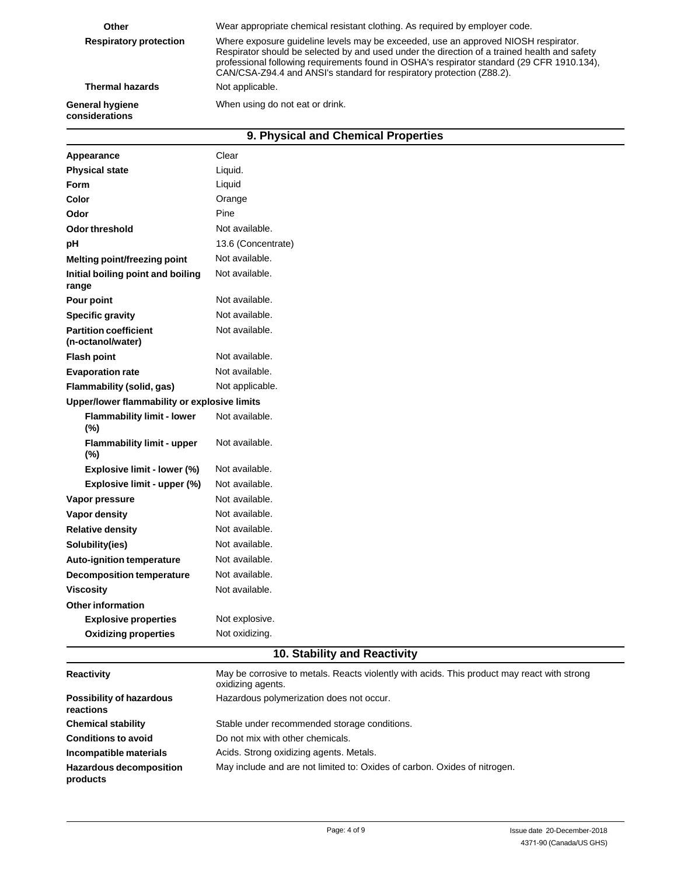| Other                                    | Wear appropriate chemical resistant clothing. As required by employer code.                                                                                                                                                                                                                                                                               |  |
|------------------------------------------|-----------------------------------------------------------------------------------------------------------------------------------------------------------------------------------------------------------------------------------------------------------------------------------------------------------------------------------------------------------|--|
| <b>Respiratory protection</b>            | Where exposure quideline levels may be exceeded, use an approved NIOSH respirator.<br>Respirator should be selected by and used under the direction of a trained health and safety<br>professional following requirements found in OSHA's respirator standard (29 CFR 1910.134).<br>CAN/CSA-Z94.4 and ANSI's standard for respiratory protection (Z88.2). |  |
| <b>Thermal hazards</b>                   | Not applicable.                                                                                                                                                                                                                                                                                                                                           |  |
| <b>General hygiene</b><br>considerations | When using do not eat or drink.                                                                                                                                                                                                                                                                                                                           |  |
| 9. Physical and Chemical Properties      |                                                                                                                                                                                                                                                                                                                                                           |  |

| Appearance                                        | Clear              |
|---------------------------------------------------|--------------------|
| <b>Physical state</b>                             | Liquid.            |
| <b>Form</b>                                       | Liquid             |
| Color                                             | Orange             |
| Odor                                              | Pine               |
| Odor threshold                                    | Not available.     |
| pH                                                | 13.6 (Concentrate) |
| Melting point/freezing point                      | Not available.     |
| Initial boiling point and boiling<br>range        | Not available.     |
| Pour point                                        | Not available.     |
| <b>Specific gravity</b>                           | Not available.     |
| <b>Partition coefficient</b><br>(n-octanol/water) | Not available.     |
| <b>Flash point</b>                                | Not available.     |
| <b>Evaporation rate</b>                           | Not available.     |
| Flammability (solid, gas)                         | Not applicable.    |
| Upper/lower flammability or explosive limits      |                    |
| <b>Flammability limit - lower</b><br>(%)          | Not available.     |
| <b>Flammability limit - upper</b><br>$(\%)$       | Not available.     |
| Explosive limit - lower (%)                       | Not available.     |
| Explosive limit - upper (%)                       | Not available.     |
| Vapor pressure                                    | Not available.     |
| Vapor density                                     | Not available.     |
| <b>Relative density</b>                           | Not available.     |
| Solubility(ies)                                   | Not available.     |
| <b>Auto-ignition temperature</b>                  | Not available.     |
| <b>Decomposition temperature</b>                  | Not available.     |
| <b>Viscosity</b>                                  | Not available.     |
| <b>Other information</b>                          |                    |
| <b>Explosive properties</b>                       | Not explosive.     |
| <b>Oxidizing properties</b>                       | Not oxidizing.     |
|                                                   |                    |

## **10. Stability and Reactivity**

| <b>Reactivity</b>                            | May be corrosive to metals. Reacts violently with acids. This product may react with strong<br>oxidizing agents. |
|----------------------------------------------|------------------------------------------------------------------------------------------------------------------|
| <b>Possibility of hazardous</b><br>reactions | Hazardous polymerization does not occur.                                                                         |
| <b>Chemical stability</b>                    | Stable under recommended storage conditions.                                                                     |
| <b>Conditions to avoid</b>                   | Do not mix with other chemicals.                                                                                 |
| Incompatible materials                       | Acids. Strong oxidizing agents. Metals.                                                                          |
| <b>Hazardous decomposition</b><br>products   | May include and are not limited to: Oxides of carbon. Oxides of nitrogen.                                        |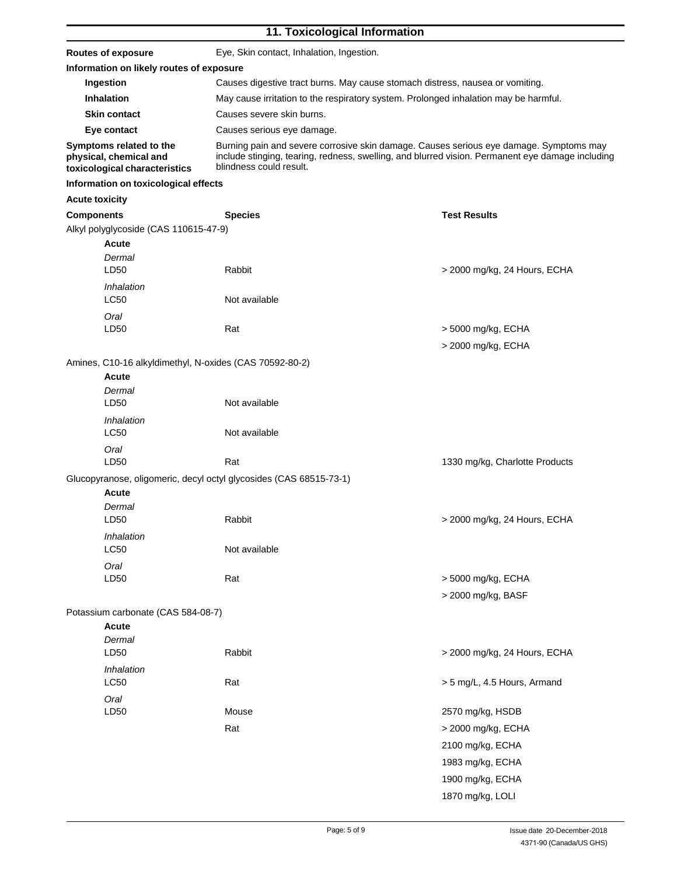### **11. Toxicological Information**

| <b>Routes of exposure</b>                                                          | Eye, Skin contact, Inhalation, Ingestion.                                                                                                                                                                             |                                          |  |  |
|------------------------------------------------------------------------------------|-----------------------------------------------------------------------------------------------------------------------------------------------------------------------------------------------------------------------|------------------------------------------|--|--|
| Information on likely routes of exposure                                           |                                                                                                                                                                                                                       |                                          |  |  |
| Ingestion                                                                          | Causes digestive tract burns. May cause stomach distress, nausea or vomiting.                                                                                                                                         |                                          |  |  |
| Inhalation                                                                         | May cause irritation to the respiratory system. Prolonged inhalation may be harmful.                                                                                                                                  |                                          |  |  |
| <b>Skin contact</b>                                                                | Causes severe skin burns.                                                                                                                                                                                             |                                          |  |  |
| Eye contact                                                                        | Causes serious eye damage.                                                                                                                                                                                            |                                          |  |  |
| Symptoms related to the<br>physical, chemical and<br>toxicological characteristics | Burning pain and severe corrosive skin damage. Causes serious eye damage. Symptoms may<br>include stinging, tearing, redness, swelling, and blurred vision. Permanent eye damage including<br>blindness could result. |                                          |  |  |
| Information on toxicological effects                                               |                                                                                                                                                                                                                       |                                          |  |  |
| <b>Acute toxicity</b>                                                              |                                                                                                                                                                                                                       |                                          |  |  |
| <b>Components</b>                                                                  | <b>Species</b>                                                                                                                                                                                                        | <b>Test Results</b>                      |  |  |
| Alkyl polyglycoside (CAS 110615-47-9)<br><b>Acute</b><br>Dermal<br>LD50            | Rabbit                                                                                                                                                                                                                | > 2000 mg/kg, 24 Hours, ECHA             |  |  |
| Inhalation<br>LC50                                                                 | Not available                                                                                                                                                                                                         |                                          |  |  |
| Oral<br>LD50                                                                       | Rat                                                                                                                                                                                                                   | > 5000 mg/kg, ECHA<br>> 2000 mg/kg, ECHA |  |  |
| Amines, C10-16 alkyldimethyl, N-oxides (CAS 70592-80-2)                            |                                                                                                                                                                                                                       |                                          |  |  |
| Acute<br>Dermal<br>LD50                                                            | Not available                                                                                                                                                                                                         |                                          |  |  |
| Inhalation<br><b>LC50</b>                                                          | Not available                                                                                                                                                                                                         |                                          |  |  |
| Oral<br>LD50                                                                       | Rat                                                                                                                                                                                                                   | 1330 mg/kg, Charlotte Products           |  |  |
|                                                                                    | Glucopyranose, oligomeric, decyl octyl glycosides (CAS 68515-73-1)                                                                                                                                                    |                                          |  |  |
| Acute                                                                              |                                                                                                                                                                                                                       |                                          |  |  |
| Dermal<br>LD50                                                                     | Rabbit                                                                                                                                                                                                                | > 2000 mg/kg, 24 Hours, ECHA             |  |  |
| Inhalation<br><b>LC50</b>                                                          | Not available                                                                                                                                                                                                         |                                          |  |  |
| Oral<br>LD50                                                                       | Rat                                                                                                                                                                                                                   | > 5000 mg/kg, ECHA<br>> 2000 mg/kg, BASF |  |  |
| Potassium carbonate (CAS 584-08-7)                                                 |                                                                                                                                                                                                                       |                                          |  |  |
| <b>Acute</b><br>Dermal<br>LD50                                                     | Rabbit                                                                                                                                                                                                                | > 2000 mg/kg, 24 Hours, ECHA             |  |  |
| Inhalation<br><b>LC50</b>                                                          | Rat                                                                                                                                                                                                                   | > 5 mg/L, 4.5 Hours, Armand              |  |  |
| Oral                                                                               |                                                                                                                                                                                                                       |                                          |  |  |
| LD50                                                                               | Mouse                                                                                                                                                                                                                 | 2570 mg/kg, HSDB                         |  |  |
|                                                                                    | Rat                                                                                                                                                                                                                   | > 2000 mg/kg, ECHA                       |  |  |
|                                                                                    |                                                                                                                                                                                                                       | 2100 mg/kg, ECHA                         |  |  |
|                                                                                    |                                                                                                                                                                                                                       | 1983 mg/kg, ECHA                         |  |  |
|                                                                                    |                                                                                                                                                                                                                       |                                          |  |  |
|                                                                                    |                                                                                                                                                                                                                       | 1900 mg/kg, ECHA                         |  |  |
|                                                                                    |                                                                                                                                                                                                                       | 1870 mg/kg, LOLI                         |  |  |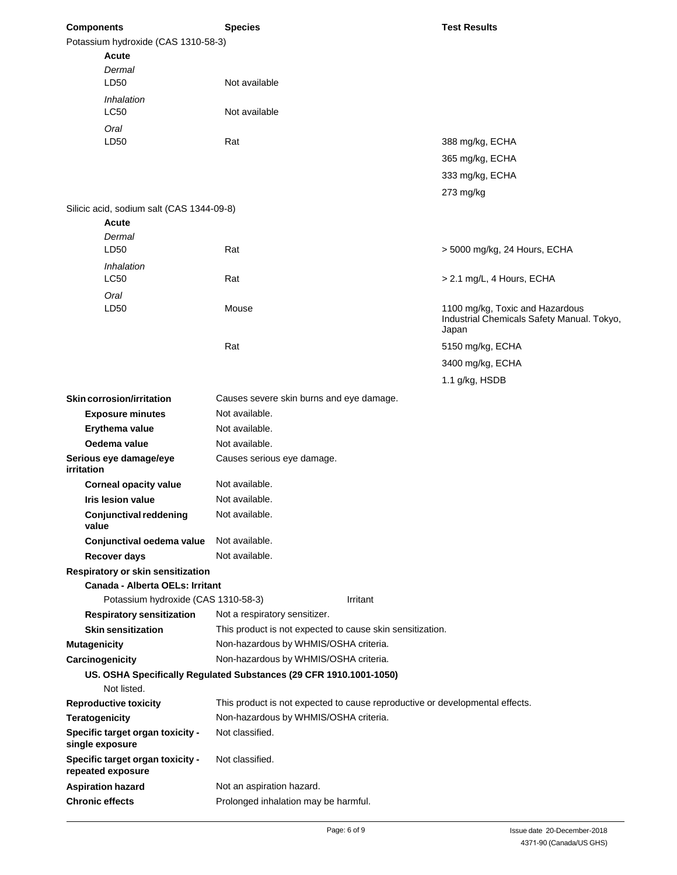| <b>Components</b>                   |                                                       | <b>Species</b>                                                               |          | <b>Test Results</b>                                 |
|-------------------------------------|-------------------------------------------------------|------------------------------------------------------------------------------|----------|-----------------------------------------------------|
| Potassium hydroxide (CAS 1310-58-3) |                                                       |                                                                              |          |                                                     |
|                                     | Acute                                                 |                                                                              |          |                                                     |
|                                     | Dermal                                                |                                                                              |          |                                                     |
|                                     | LD50                                                  | Not available                                                                |          |                                                     |
|                                     | Inhalation                                            |                                                                              |          |                                                     |
|                                     | LC50                                                  | Not available                                                                |          |                                                     |
|                                     | Oral                                                  |                                                                              |          |                                                     |
|                                     | LD50                                                  | Rat                                                                          |          | 388 mg/kg, ECHA                                     |
|                                     |                                                       |                                                                              |          | 365 mg/kg, ECHA                                     |
|                                     |                                                       |                                                                              |          | 333 mg/kg, ECHA                                     |
|                                     |                                                       |                                                                              |          | 273 mg/kg                                           |
|                                     | Silicic acid, sodium salt (CAS 1344-09-8)             |                                                                              |          |                                                     |
|                                     | Acute                                                 |                                                                              |          |                                                     |
|                                     | Dermal                                                |                                                                              |          |                                                     |
|                                     | LD50                                                  | Rat                                                                          |          | > 5000 mg/kg, 24 Hours, ECHA                        |
|                                     | Inhalation                                            |                                                                              |          |                                                     |
|                                     | <b>LC50</b>                                           | Rat                                                                          |          | > 2.1 mg/L, 4 Hours, ECHA                           |
|                                     | Oral                                                  |                                                                              |          |                                                     |
|                                     | LD50                                                  | Mouse                                                                        |          | 1100 mg/kg, Toxic and Hazardous                     |
|                                     |                                                       |                                                                              |          | Industrial Chemicals Safety Manual. Tokyo,<br>Japan |
|                                     |                                                       |                                                                              |          |                                                     |
|                                     |                                                       | Rat                                                                          |          | 5150 mg/kg, ECHA                                    |
|                                     |                                                       |                                                                              |          | 3400 mg/kg, ECHA                                    |
|                                     |                                                       |                                                                              |          | 1.1 g/kg, HSDB                                      |
|                                     | <b>Skin corrosion/irritation</b>                      | Causes severe skin burns and eye damage.                                     |          |                                                     |
|                                     | <b>Exposure minutes</b>                               | Not available.                                                               |          |                                                     |
|                                     | Erythema value                                        | Not available.                                                               |          |                                                     |
|                                     | Oedema value                                          | Not available.                                                               |          |                                                     |
| irritation                          | Serious eye damage/eye                                | Causes serious eye damage.                                                   |          |                                                     |
|                                     | <b>Corneal opacity value</b>                          | Not available.                                                               |          |                                                     |
|                                     | <b>Iris lesion value</b>                              | Not available.                                                               |          |                                                     |
| value                               | <b>Conjunctival reddening</b>                         | Not available.                                                               |          |                                                     |
|                                     | Conjunctival oedema value                             | Not available.                                                               |          |                                                     |
|                                     | Recover days                                          | Not available.                                                               |          |                                                     |
|                                     | Respiratory or skin sensitization                     |                                                                              |          |                                                     |
|                                     | <b>Canada - Alberta OELs: Irritant</b>                |                                                                              |          |                                                     |
|                                     | Potassium hydroxide (CAS 1310-58-3)                   |                                                                              | Irritant |                                                     |
|                                     | <b>Respiratory sensitization</b>                      | Not a respiratory sensitizer.                                                |          |                                                     |
|                                     | <b>Skin sensitization</b>                             | This product is not expected to cause skin sensitization.                    |          |                                                     |
| <b>Mutagenicity</b>                 |                                                       | Non-hazardous by WHMIS/OSHA criteria.                                        |          |                                                     |
|                                     | Carcinogenicity                                       | Non-hazardous by WHMIS/OSHA criteria.                                        |          |                                                     |
|                                     |                                                       | US. OSHA Specifically Regulated Substances (29 CFR 1910.1001-1050)           |          |                                                     |
|                                     | Not listed.                                           |                                                                              |          |                                                     |
|                                     | <b>Reproductive toxicity</b>                          | This product is not expected to cause reproductive or developmental effects. |          |                                                     |
| <b>Teratogenicity</b>               |                                                       | Non-hazardous by WHMIS/OSHA criteria.                                        |          |                                                     |
|                                     | Specific target organ toxicity -<br>single exposure   | Not classified.                                                              |          |                                                     |
|                                     | Specific target organ toxicity -<br>repeated exposure | Not classified.                                                              |          |                                                     |
|                                     | <b>Aspiration hazard</b>                              | Not an aspiration hazard.                                                    |          |                                                     |
|                                     | <b>Chronic effects</b>                                | Prolonged inhalation may be harmful.                                         |          |                                                     |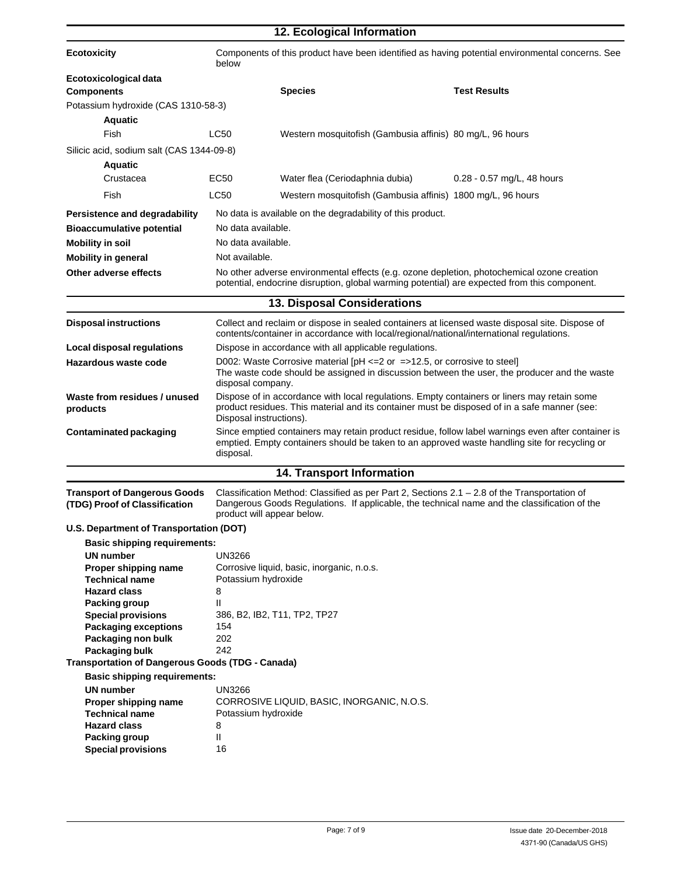|                                                                      |                                                                                                                                                                                                                        | 12. Ecological Information                                                                                                                                                                                                 |                              |  |
|----------------------------------------------------------------------|------------------------------------------------------------------------------------------------------------------------------------------------------------------------------------------------------------------------|----------------------------------------------------------------------------------------------------------------------------------------------------------------------------------------------------------------------------|------------------------------|--|
| <b>Ecotoxicity</b>                                                   | Components of this product have been identified as having potential environmental concerns. See<br>below                                                                                                               |                                                                                                                                                                                                                            |                              |  |
| Ecotoxicological data                                                |                                                                                                                                                                                                                        |                                                                                                                                                                                                                            |                              |  |
| <b>Components</b>                                                    |                                                                                                                                                                                                                        | <b>Species</b>                                                                                                                                                                                                             | <b>Test Results</b>          |  |
| Potassium hydroxide (CAS 1310-58-3)                                  |                                                                                                                                                                                                                        |                                                                                                                                                                                                                            |                              |  |
| <b>Aquatic</b>                                                       |                                                                                                                                                                                                                        |                                                                                                                                                                                                                            |                              |  |
| Fish                                                                 | <b>LC50</b>                                                                                                                                                                                                            | Western mosquitofish (Gambusia affinis) 80 mg/L, 96 hours                                                                                                                                                                  |                              |  |
| Silicic acid, sodium salt (CAS 1344-09-8)                            |                                                                                                                                                                                                                        |                                                                                                                                                                                                                            |                              |  |
| <b>Aquatic</b>                                                       |                                                                                                                                                                                                                        |                                                                                                                                                                                                                            |                              |  |
| Crustacea                                                            | EC50                                                                                                                                                                                                                   | Water flea (Ceriodaphnia dubia)                                                                                                                                                                                            | $0.28 - 0.57$ mg/L, 48 hours |  |
| Fish                                                                 | <b>LC50</b>                                                                                                                                                                                                            | Western mosquitofish (Gambusia affinis) 1800 mg/L, 96 hours                                                                                                                                                                |                              |  |
| Persistence and degradability                                        |                                                                                                                                                                                                                        | No data is available on the degradability of this product.                                                                                                                                                                 |                              |  |
| <b>Bioaccumulative potential</b>                                     | No data available.                                                                                                                                                                                                     |                                                                                                                                                                                                                            |                              |  |
| <b>Mobility in soil</b>                                              | No data available.                                                                                                                                                                                                     |                                                                                                                                                                                                                            |                              |  |
| <b>Mobility in general</b>                                           | Not available.                                                                                                                                                                                                         |                                                                                                                                                                                                                            |                              |  |
| Other adverse effects                                                |                                                                                                                                                                                                                        | No other adverse environmental effects (e.g. ozone depletion, photochemical ozone creation<br>potential, endocrine disruption, global warming potential) are expected from this component.                                 |                              |  |
|                                                                      |                                                                                                                                                                                                                        | <b>13. Disposal Considerations</b>                                                                                                                                                                                         |                              |  |
| <b>Disposal instructions</b>                                         |                                                                                                                                                                                                                        | Collect and reclaim or dispose in sealed containers at licensed waste disposal site. Dispose of<br>contents/container in accordance with local/regional/national/international regulations.                                |                              |  |
| Local disposal regulations                                           |                                                                                                                                                                                                                        | Dispose in accordance with all applicable regulations.                                                                                                                                                                     |                              |  |
| Hazardous waste code                                                 | D002: Waste Corrosive material $[PH \le 2$ or =>12.5, or corrosive to steel]<br>The waste code should be assigned in discussion between the user, the producer and the waste<br>disposal company.                      |                                                                                                                                                                                                                            |                              |  |
| Waste from residues / unused<br>products                             | Dispose of in accordance with local regulations. Empty containers or liners may retain some<br>product residues. This material and its container must be disposed of in a safe manner (see:<br>Disposal instructions). |                                                                                                                                                                                                                            |                              |  |
| <b>Contaminated packaging</b>                                        | Since emptied containers may retain product residue, follow label warnings even after container is<br>emptied. Empty containers should be taken to an approved waste handling site for recycling or<br>disposal.       |                                                                                                                                                                                                                            |                              |  |
|                                                                      |                                                                                                                                                                                                                        | <b>14. Transport Information</b>                                                                                                                                                                                           |                              |  |
| <b>Transport of Dangerous Goods</b><br>(TDG) Proof of Classification |                                                                                                                                                                                                                        | Classification Method: Classified as per Part 2, Sections 2.1 – 2.8 of the Transportation of<br>Dangerous Goods Regulations. If applicable, the technical name and the classification of the<br>product will appear below. |                              |  |
| U.S. Department of Transportation (DOT)                              |                                                                                                                                                                                                                        |                                                                                                                                                                                                                            |                              |  |
| <b>Basic shipping requirements:</b>                                  |                                                                                                                                                                                                                        |                                                                                                                                                                                                                            |                              |  |
| <b>UN number</b>                                                     | <b>UN3266</b>                                                                                                                                                                                                          |                                                                                                                                                                                                                            |                              |  |
| Proper shipping name<br><b>Technical name</b>                        | Potassium hydroxide                                                                                                                                                                                                    | Corrosive liquid, basic, inorganic, n.o.s.                                                                                                                                                                                 |                              |  |
| <b>Hazard class</b>                                                  | 8                                                                                                                                                                                                                      |                                                                                                                                                                                                                            |                              |  |
| <b>Packing group</b>                                                 | Ш                                                                                                                                                                                                                      |                                                                                                                                                                                                                            |                              |  |
| <b>Special provisions</b>                                            |                                                                                                                                                                                                                        | 386, B2, IB2, T11, TP2, TP27                                                                                                                                                                                               |                              |  |
| <b>Packaging exceptions</b><br>Packaging non bulk                    | 154<br>202                                                                                                                                                                                                             |                                                                                                                                                                                                                            |                              |  |
| Packaging bulk                                                       | 242                                                                                                                                                                                                                    |                                                                                                                                                                                                                            |                              |  |
| <b>Transportation of Dangerous Goods (TDG - Canada)</b>              |                                                                                                                                                                                                                        |                                                                                                                                                                                                                            |                              |  |
| <b>Basic shipping requirements:</b>                                  |                                                                                                                                                                                                                        |                                                                                                                                                                                                                            |                              |  |
| <b>UN</b> number                                                     | <b>UN3266</b>                                                                                                                                                                                                          |                                                                                                                                                                                                                            |                              |  |
| Proper shipping name                                                 |                                                                                                                                                                                                                        | CORROSIVE LIQUID, BASIC, INORGANIC, N.O.S.                                                                                                                                                                                 |                              |  |
| <b>Technical name</b><br><b>Hazard class</b>                         | Potassium hydroxide<br>8                                                                                                                                                                                               |                                                                                                                                                                                                                            |                              |  |
| Packing group                                                        | Ш                                                                                                                                                                                                                      |                                                                                                                                                                                                                            |                              |  |
| <b>Special provisions</b>                                            | 16                                                                                                                                                                                                                     |                                                                                                                                                                                                                            |                              |  |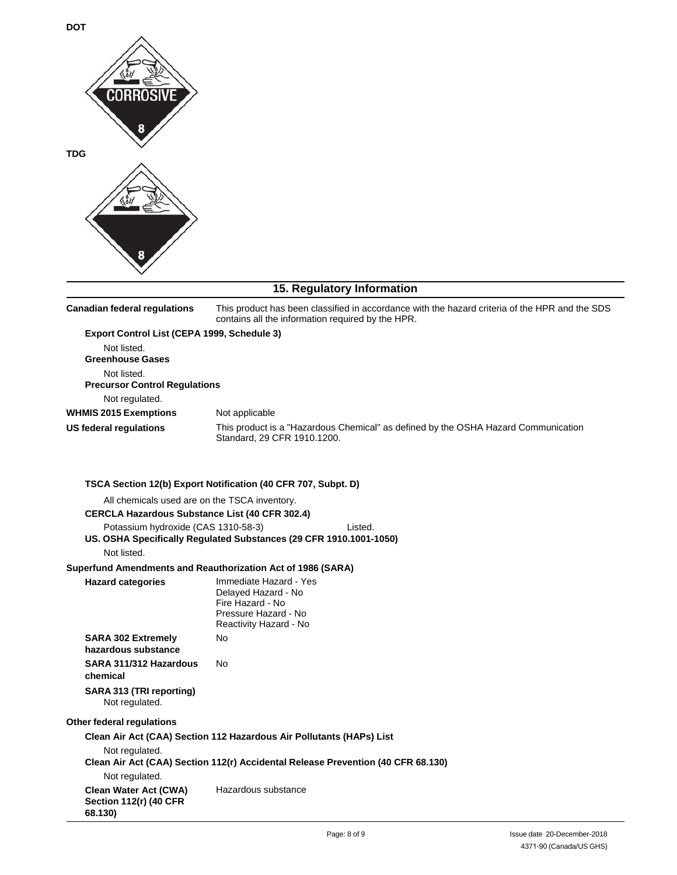

## **15. Regulatory Information**

| <b>Canadian federal regulations</b>                                                                                                 | This product has been classified in accordance with the hazard criteria of the HPR and the SDS<br>contains all the information required by the HPR. |  |  |
|-------------------------------------------------------------------------------------------------------------------------------------|-----------------------------------------------------------------------------------------------------------------------------------------------------|--|--|
| Export Control List (CEPA 1999, Schedule 3)<br>Not listed.<br><b>Greenhouse Gases</b><br>Not listed.                                |                                                                                                                                                     |  |  |
| <b>Precursor Control Regulations</b>                                                                                                |                                                                                                                                                     |  |  |
| Not regulated.                                                                                                                      |                                                                                                                                                     |  |  |
| <b>WHMIS 2015 Exemptions</b>                                                                                                        | Not applicable                                                                                                                                      |  |  |
| <b>US federal regulations</b>                                                                                                       | This product is a "Hazardous Chemical" as defined by the OSHA Hazard Communication<br>Standard, 29 CFR 1910.1200.                                   |  |  |
|                                                                                                                                     | TSCA Section 12(b) Export Notification (40 CFR 707, Subpt. D)                                                                                       |  |  |
| All chemicals used are on the TSCA inventory.                                                                                       |                                                                                                                                                     |  |  |
| <b>CERCLA Hazardous Substance List (40 CFR 302.4)</b>                                                                               |                                                                                                                                                     |  |  |
| Potassium hydroxide (CAS 1310-58-3)<br>Listed.<br>US. OSHA Specifically Regulated Substances (29 CFR 1910.1001-1050)<br>Not listed. |                                                                                                                                                     |  |  |
|                                                                                                                                     | Superfund Amendments and Reauthorization Act of 1986 (SARA)                                                                                         |  |  |
| <b>Hazard categories</b>                                                                                                            | Immediate Hazard - Yes<br>Delayed Hazard - No<br>Fire Hazard - No<br>Pressure Hazard - No<br>Reactivity Hazard - No                                 |  |  |
| <b>SARA 302 Extremely</b><br>hazardous substance                                                                                    | No                                                                                                                                                  |  |  |
| SARA 311/312 Hazardous<br>chemical                                                                                                  | No                                                                                                                                                  |  |  |
| SARA 313 (TRI reporting)<br>Not regulated.                                                                                          |                                                                                                                                                     |  |  |
| Other federal regulations                                                                                                           |                                                                                                                                                     |  |  |
|                                                                                                                                     | Clean Air Act (CAA) Section 112 Hazardous Air Pollutants (HAPs) List                                                                                |  |  |
| Not regulated.<br>Not regulated.                                                                                                    | Clean Air Act (CAA) Section 112(r) Accidental Release Prevention (40 CFR 68.130)                                                                    |  |  |
| <b>Clean Water Act (CWA)</b><br><b>Section 112(r) (40 CFR</b><br>68.130)                                                            | Hazardous substance                                                                                                                                 |  |  |